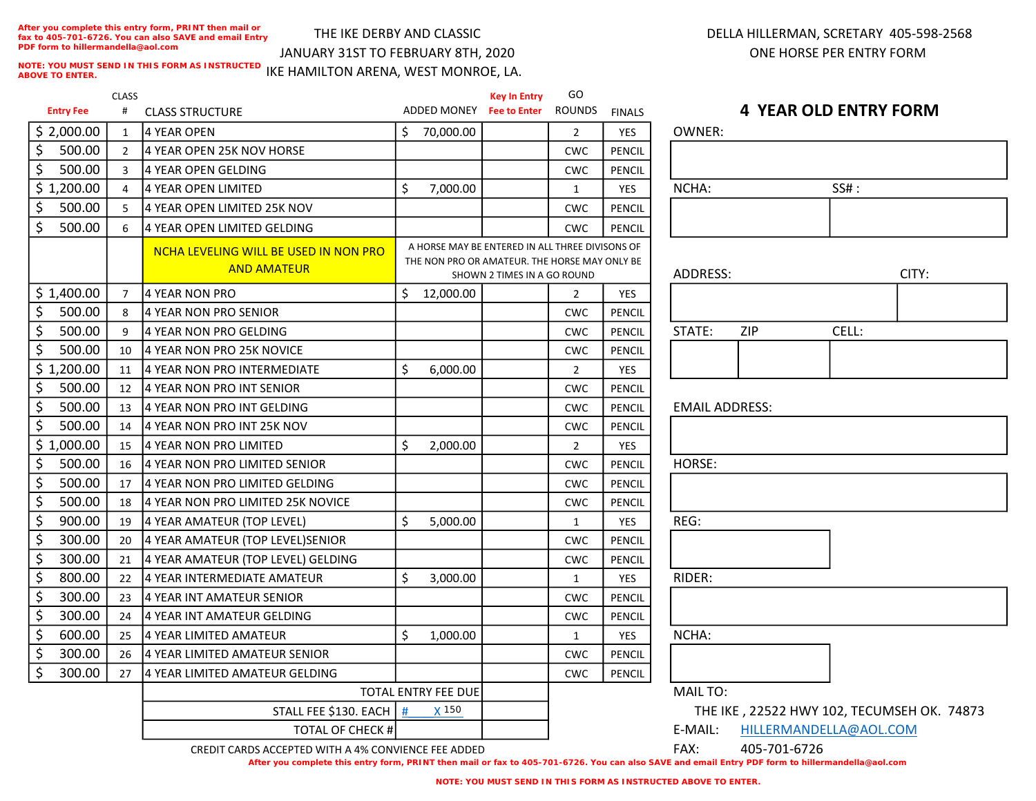**After you complete this entry form, PRINT then mail or fax to 405-701-6726. You can also SAVE and email Entry PDF form to hillermandella@aol.com**

# THE IKE DERBY AND CLASSIC

JANUARY 31ST TO FEBRUARY 8TH, 2020

## DELLA HILLERMAN, SCRETARY 405-598-2568 ONE HORSE PER ENTRY FORM

Entry Fee CLASS # CLASS STRUCTURE Key In Entry ADDED MONEY Fee to Enter GO ROUNDS FINALS \$ 2,000.00 | 1 |4 YEAR OPEN | \$ 70,000.00 | 2 | YES | OWNER: \$ 500.00 2 4 YEAR OPEN 25K NOV HORSE THE RESERVE PENCIL \$ 500.00 3 4 YEAR OPEN GELDING CWC PENCIL  $\binom{1}{200.00}$  4  $\binom{4}{4}$  YEAR OPEN LIMITED  $\binom{5}{1000.00}$   $\binom{1}{1}$  YES NCHA: SS# : \$ 500.00 S 4 YEAR OPEN LIMITED 25K NOV CWC PENCIL \$ 500.00 6 4 YEAR OPEN LIMITED GELDING CWC PENCIL NCHA LEVELING WILL BE USED IN NON PRO AND AMATEUR **AND AMATEUR** AND THE NONTROLLING SHAMMATEUR IN A GO ROUND **ADDRESS:** ADDRESS:  $\binom{1}{2}$   $\binom{1}{4}$  YEAR NON PRO  $\binom{1}{5}$  12,000.00  $\binom{2}{1}$  YES \$ 500.00 8 4 YEAR NON PRO SENIOR \$ 500.00 9 4 YEAR NON PRO GELDING CWC PENCIL STATE: CWC PENCIL \$ 500.00 10 4 YEAR NON PRO 25K NOVICE CWC PENCIL  $\binom{1}{2}$  1,200.00 11 4 YEAR NON PRO INTERMEDIATE  $\binom{1}{3}$  6,000.00  $\binom{2}{1}$  YES \$ 500.00 12 4 YEAR NON PRO INT SENIOR CWC PENCIL  $\binom{5}{2}$  500.00 | 13 |4 YEAR NON PRO INT GELDING CWC | CWC | PENCIL \$ 500.00 | 14 | 4 YEAR NON PRO INT 25K NOV CWC PENCIL \$ 1,000.00 <sup>15</sup> 4 YEAR NON PRO LIMITED 2,000.00 \$ 2 YES  $\binom{5}{5}$  500.00 | 16 | 4 YEAR NON PRO LIMITED SENIOR \$ 500.00 17 4 YEAR NON PRO LIMITED GELDING CWC PENCIL \$ 500.00 18 4 YEAR NON PRO LIMITED 25K NOVICE | | | | | | | | | | CWC | PENCIL \$ 900.00 | 19 |4 YEAR AMATEUR (TOP LEVEL) | \$ 5,000.00 | 1 | YES \$ 300.00 20 4 YEAR AMATEUR (TOP LEVEL)SENIOR THE RESERVED BENCIL \$ 300.00 21 4 YEAR AMATEUR (TOP LEVEL) GELDING CWC PENCIL  $\binom{1}{2}$  800.00 22 4 YEAR INTERMEDIATE AMATEUR  $\binom{1}{3}$  3,000.00  $\binom{1}{1}$  1 YES \$ 300.00 23 4 YEAR INT AMATEUR SENIOR CWC PENCIL \$ 300.00 24 4 YEAR INT AMATEUR GELDING CWC PENCIL  $\binom{600.00}{1}$  25 4 YEAR LIMITED AMATEUR  $\binom{6}{5}$  1,000.00  $\binom{1}{1}$  1 YES \$ 300.00 26 4 YEAR LIMITED AMATEUR SENIOR CWC PENCIL \$ 300.00 27 4 YEAR LIMITED AMATEUR GELDING CWC PENCIL STALL FEE \$130. EACH  $\parallel$  # IKE HAMILTON ARENA, WEST MONROE, LA. A HORSE MAY BE ENTERED IN ALL THREE DIVISONS OF THE NON PRO OR AMATEUR. THE HORSE MAY ONLY BE SHOWN 2 TIMES IN A GO ROUND TOTAL ENTRY FEE DUE **NOTE: YOU MUST SEND IN THIS FORM AS INSTRUCTED ABOVE TO ENTER. X** 150

## 4 YEAR OLD ENTRY FORM

| NCHA:                 | SS# : |       |  |  |  |  |  |
|-----------------------|-------|-------|--|--|--|--|--|
|                       |       |       |  |  |  |  |  |
|                       |       |       |  |  |  |  |  |
|                       |       |       |  |  |  |  |  |
| ADDRESS:              |       | CITY: |  |  |  |  |  |
|                       |       |       |  |  |  |  |  |
| STATE:<br>ZIP         |       | CELL: |  |  |  |  |  |
|                       |       |       |  |  |  |  |  |
|                       |       |       |  |  |  |  |  |
|                       |       |       |  |  |  |  |  |
|                       |       |       |  |  |  |  |  |
| <b>EMAIL ADDRESS:</b> |       |       |  |  |  |  |  |
|                       |       |       |  |  |  |  |  |
|                       |       |       |  |  |  |  |  |
| HORSE:                |       |       |  |  |  |  |  |
|                       |       |       |  |  |  |  |  |
|                       |       |       |  |  |  |  |  |
| REG:                  |       |       |  |  |  |  |  |
|                       |       |       |  |  |  |  |  |
|                       |       |       |  |  |  |  |  |
| RIDER:                |       |       |  |  |  |  |  |
|                       |       |       |  |  |  |  |  |
|                       |       |       |  |  |  |  |  |
|                       |       |       |  |  |  |  |  |
| NCHA:                 |       |       |  |  |  |  |  |
|                       |       |       |  |  |  |  |  |

TOTAL OF CHECK # CREDIT CARDS ACCEPTED WITH A 4% CONVIENCE FEE ADDED **1999 TO 120 FAX**: 405-701-6726

**After you complete this entry form, PRINT then mail or fax to 405-701-6726. You can also SAVE and email Entry PDF form to hillermandella@aol.com**